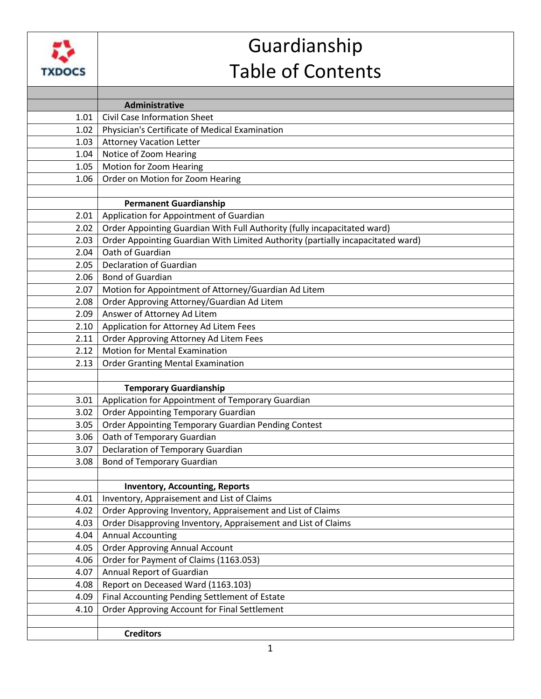

## Guardianship Table of Contents

|      | Administrative                                                                  |
|------|---------------------------------------------------------------------------------|
| 1.01 | <b>Civil Case Information Sheet</b>                                             |
| 1.02 | Physician's Certificate of Medical Examination                                  |
| 1.03 | <b>Attorney Vacation Letter</b>                                                 |
| 1.04 | Notice of Zoom Hearing                                                          |
| 1.05 | Motion for Zoom Hearing                                                         |
| 1.06 | Order on Motion for Zoom Hearing                                                |
|      |                                                                                 |
|      | <b>Permanent Guardianship</b>                                                   |
| 2.01 | Application for Appointment of Guardian                                         |
| 2.02 | Order Appointing Guardian With Full Authority (fully incapacitated ward)        |
| 2.03 | Order Appointing Guardian With Limited Authority (partially incapacitated ward) |
| 2.04 | Oath of Guardian                                                                |
| 2.05 | Declaration of Guardian                                                         |
| 2.06 | <b>Bond of Guardian</b>                                                         |
| 2.07 | Motion for Appointment of Attorney/Guardian Ad Litem                            |
| 2.08 | Order Approving Attorney/Guardian Ad Litem                                      |
| 2.09 | Answer of Attorney Ad Litem                                                     |
| 2.10 | Application for Attorney Ad Litem Fees                                          |
| 2.11 | Order Approving Attorney Ad Litem Fees                                          |
| 2.12 | <b>Motion for Mental Examination</b>                                            |
| 2.13 | <b>Order Granting Mental Examination</b>                                        |
|      |                                                                                 |
|      | <b>Temporary Guardianship</b>                                                   |
| 3.01 | Application for Appointment of Temporary Guardian                               |
| 3.02 | <b>Order Appointing Temporary Guardian</b>                                      |
| 3.05 | Order Appointing Temporary Guardian Pending Contest                             |
| 3.06 | Oath of Temporary Guardian                                                      |
| 3.07 | <b>Declaration of Temporary Guardian</b>                                        |
| 3.08 | <b>Bond of Temporary Guardian</b>                                               |
|      |                                                                                 |
|      | <b>Inventory, Accounting, Reports</b>                                           |
| 4.01 | Inventory, Appraisement and List of Claims                                      |
| 4.02 | Order Approving Inventory, Appraisement and List of Claims                      |
| 4.03 | Order Disapproving Inventory, Appraisement and List of Claims                   |
| 4.04 | <b>Annual Accounting</b>                                                        |
| 4.05 | <b>Order Approving Annual Account</b>                                           |
| 4.06 | Order for Payment of Claims (1163.053)                                          |
| 4.07 | Annual Report of Guardian                                                       |
| 4.08 | Report on Deceased Ward (1163.103)                                              |
| 4.09 | Final Accounting Pending Settlement of Estate                                   |
| 4.10 | Order Approving Account for Final Settlement                                    |
|      |                                                                                 |
|      | <b>Creditors</b>                                                                |